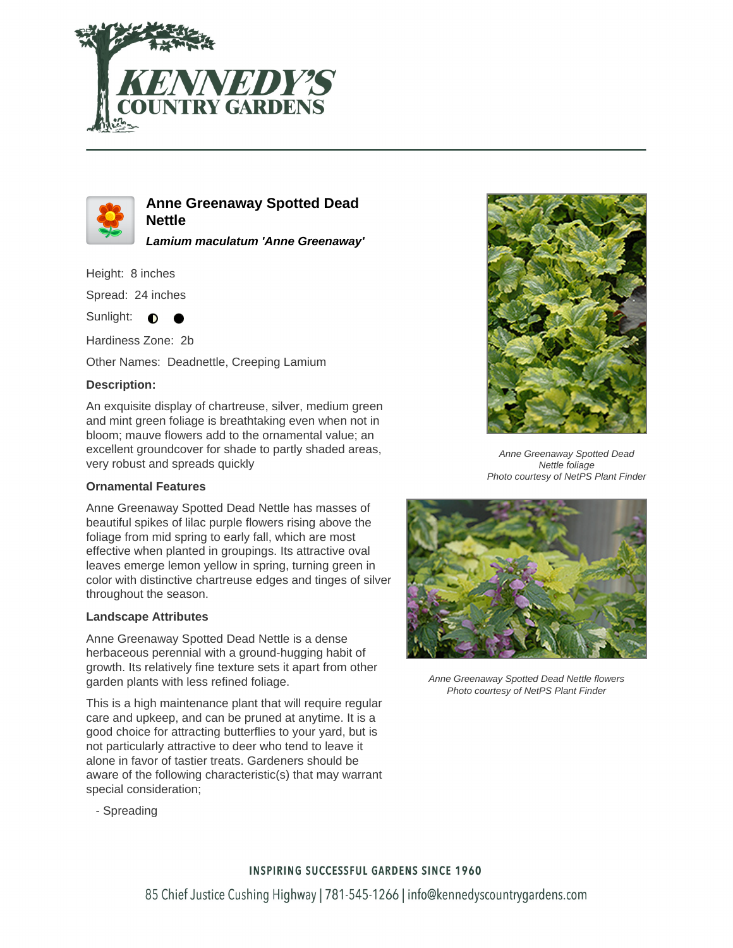



**Anne Greenaway Spotted Dead Nettle**

**Lamium maculatum 'Anne Greenaway'**

Height: 8 inches

Spread: 24 inches

Sunlight:  $\bullet$ 

Hardiness Zone: 2b

Other Names: Deadnettle, Creeping Lamium

## **Description:**

An exquisite display of chartreuse, silver, medium green and mint green foliage is breathtaking even when not in bloom; mauve flowers add to the ornamental value; an excellent groundcover for shade to partly shaded areas, very robust and spreads quickly

### **Ornamental Features**

Anne Greenaway Spotted Dead Nettle has masses of beautiful spikes of lilac purple flowers rising above the foliage from mid spring to early fall, which are most effective when planted in groupings. Its attractive oval leaves emerge lemon yellow in spring, turning green in color with distinctive chartreuse edges and tinges of silver throughout the season.

#### **Landscape Attributes**

Anne Greenaway Spotted Dead Nettle is a dense herbaceous perennial with a ground-hugging habit of growth. Its relatively fine texture sets it apart from other garden plants with less refined foliage.

This is a high maintenance plant that will require regular care and upkeep, and can be pruned at anytime. It is a good choice for attracting butterflies to your yard, but is not particularly attractive to deer who tend to leave it alone in favor of tastier treats. Gardeners should be aware of the following characteristic(s) that may warrant special consideration;



Anne Greenaway Spotted Dead Nettle foliage Photo courtesy of NetPS Plant Finder



Anne Greenaway Spotted Dead Nettle flowers Photo courtesy of NetPS Plant Finder

- Spreading

# **INSPIRING SUCCESSFUL GARDENS SINCE 1960**